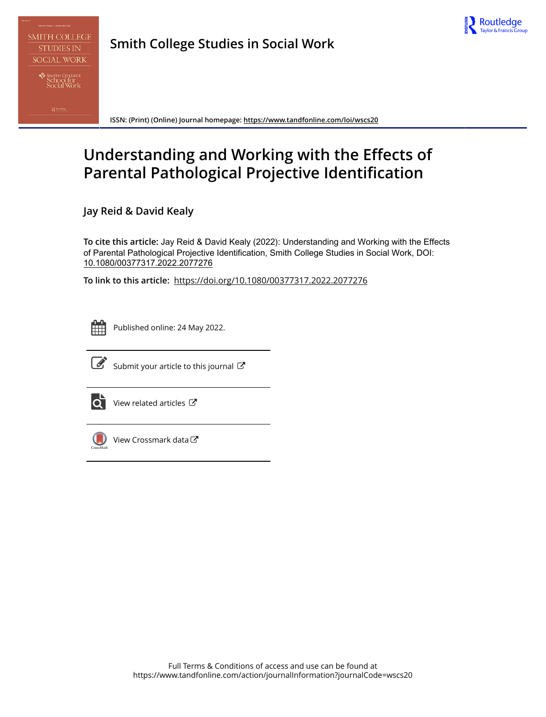

**Smith College Studies in Social Work**

**ISSN: (Print) (Online) Journal homepage:<https://www.tandfonline.com/loi/wscs20>**

# **Understanding and Working with the Effects of Parental Pathological Projective Identification**

**Jay Reid & David Kealy**

**To cite this article:** Jay Reid & David Kealy (2022): Understanding and Working with the Effects of Parental Pathological Projective Identification, Smith College Studies in Social Work, DOI: [10.1080/00377317.2022.2077276](https://www.tandfonline.com/action/showCitFormats?doi=10.1080/00377317.2022.2077276)

**To link to this article:** <https://doi.org/10.1080/00377317.2022.2077276>



Published online: 24 May 2022.



 $\overrightarrow{S}$  [Submit your article to this journal](https://www.tandfonline.com/action/authorSubmission?journalCode=wscs20&show=instructions)  $\overrightarrow{S}$ 



[View related articles](https://www.tandfonline.com/doi/mlt/10.1080/00377317.2022.2077276)  $\mathbb{Z}$ 



[View Crossmark data](http://crossmark.crossref.org/dialog/?doi=10.1080/00377317.2022.2077276&domain=pdf&date_stamp=2022-05-24) C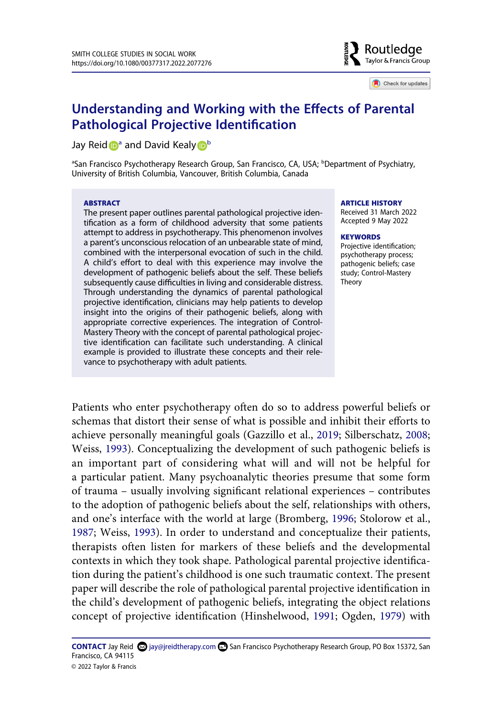

Check for updates

## **Understanding and Working with the Effects of Parental Pathological Projective Identification**

Jay Rei[d](http://orcid.org/0000-0003-0014-7478) **[a](#page-1-0)** and David Kealy **D** 

<span id="page-1-0"></span><sup>a</sup>San Francisco Psychotherapy Research Group, San Francisco, CA, USA; <sup>b</sup>Department of Psychiatry, University of British Columbia, Vancouver, British Columbia, Canada

#### **ABSTRACT**

The present paper outlines parental pathological projective identification as a form of childhood adversity that some patients attempt to address in psychotherapy. This phenomenon involves a parent's unconscious relocation of an unbearable state of mind, combined with the interpersonal evocation of such in the child. A child's effort to deal with this experience may involve the development of pathogenic beliefs about the self. These beliefs subsequently cause difficulties in living and considerable distress. Through understanding the dynamics of parental pathological projective identification, clinicians may help patients to develop insight into the origins of their pathogenic beliefs, along with appropriate corrective experiences. The integration of Control-Mastery Theory with the concept of parental pathological projective identification can facilitate such understanding. A clinical example is provided to illustrate these concepts and their relevance to psychotherapy with adult patients.

#### **ARTICLE HISTORY**

Received 31 March 2022 Accepted 9 May 2022

#### **KEYWORDS**

Projective identification; psychotherapy process; pathogenic beliefs; case study; Control-Mastery Theory

<span id="page-1-4"></span><span id="page-1-3"></span><span id="page-1-2"></span><span id="page-1-1"></span>Patients who enter psychotherapy often do so to address powerful beliefs or schemas that distort their sense of what is possible and inhibit their efforts to achieve personally meaningful goals (Gazzillo et al., [2019](#page-17-0); Silberschatz, [2008](#page-18-0); Weiss, [1993\)](#page-18-1). Conceptualizing the development of such pathogenic beliefs is an important part of considering what will and will not be helpful for a particular patient. Many psychoanalytic theories presume that some form of trauma – usually involving significant relational experiences – contributes to the adoption of pathogenic beliefs about the self, relationships with others, and one's interface with the world at large (Bromberg, [1996](#page-17-1); Stolorow et al., [1987](#page-18-2); Weiss, [1993](#page-18-1)). In order to understand and conceptualize their patients, therapists often listen for markers of these beliefs and the developmental contexts in which they took shape. Pathological parental projective identification during the patient's childhood is one such traumatic context. The present paper will describe the role of pathological parental projective identification in the child's development of pathogenic beliefs, integrating the object relations concept of projective identification (Hinshelwood, [1991](#page-18-3); Ogden, [1979](#page-18-4)) with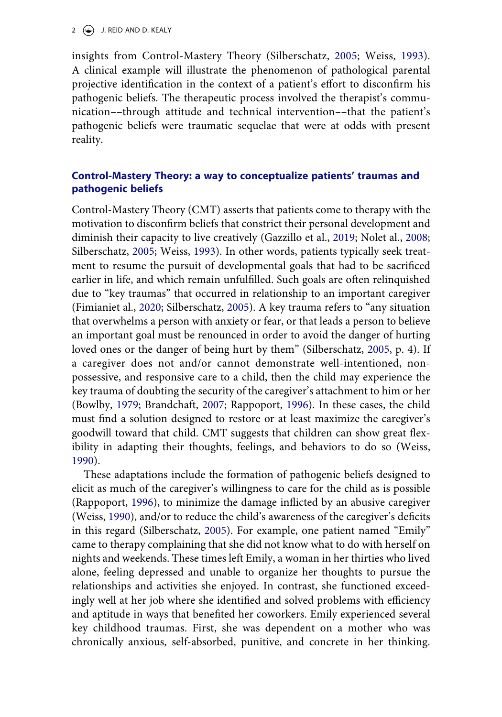2  $\left(\frac{1}{2}\right)$  J. REID AND D. KEALY

insights from Control-Mastery Theory (Silberschatz, [2005;](#page-18-5) Weiss, [1993](#page-18-1)). A clinical example will illustrate the phenomenon of pathological parental projective identification in the context of a patient's effort to disconfirm his pathogenic beliefs. The therapeutic process involved the therapist's communication––through attitude and technical intervention––that the patient's pathogenic beliefs were traumatic sequelae that were at odds with present reality.

## **Control-Mastery Theory: a way to conceptualize patients' traumas and pathogenic beliefs**

<span id="page-2-2"></span><span id="page-2-1"></span>Control-Mastery Theory (CMT) asserts that patients come to therapy with the motivation to disconfirm beliefs that constrict their personal development and diminish their capacity to live creatively (Gazzillo et al., [2019](#page-17-0); Nolet al., [2008](#page-18-6); Silberschatz, [2005](#page-18-5); Weiss, [1993](#page-18-1)). In other words, patients typically seek treatment to resume the pursuit of developmental goals that had to be sacrificed earlier in life, and which remain unfulfilled. Such goals are often relinquished due to "key traumas" that occurred in relationship to an important caregiver (Fimianiet al., [2020;](#page-17-2) Silberschatz, [2005](#page-18-5)). A key trauma refers to "any situation that overwhelms a person with anxiety or fear, or that leads a person to believe an important goal must be renounced in order to avoid the danger of hurting loved ones or the danger of being hurt by them" (Silberschatz, [2005,](#page-18-5) p. 4). If a caregiver does not and/or cannot demonstrate well-intentioned, nonpossessive, and responsive care to a child, then the child may experience the key trauma of doubting the security of the caregiver's attachment to him or her (Bowlby, [1979;](#page-17-3) Brandchaft, [2007](#page-17-4); Rappoport, [1996\)](#page-18-7). In these cases, the child must find a solution designed to restore or at least maximize the caregiver's goodwill toward that child. CMT suggests that children can show great flexibility in adapting their thoughts, feelings, and behaviors to do so (Weiss, [1990](#page-18-8)).

<span id="page-2-5"></span><span id="page-2-4"></span><span id="page-2-3"></span><span id="page-2-0"></span>These adaptations include the formation of pathogenic beliefs designed to elicit as much of the caregiver's willingness to care for the child as is possible (Rappoport, [1996\)](#page-18-7), to minimize the damage inflicted by an abusive caregiver (Weiss, [1990\)](#page-18-8), and/or to reduce the child's awareness of the caregiver's deficits in this regard (Silberschatz, [2005](#page-18-5)). For example, one patient named "Emily" came to therapy complaining that she did not know what to do with herself on nights and weekends. These times left Emily, a woman in her thirties who lived alone, feeling depressed and unable to organize her thoughts to pursue the relationships and activities she enjoyed. In contrast, she functioned exceedingly well at her job where she identified and solved problems with efficiency and aptitude in ways that benefited her coworkers. Emily experienced several key childhood traumas. First, she was dependent on a mother who was chronically anxious, self-absorbed, punitive, and concrete in her thinking.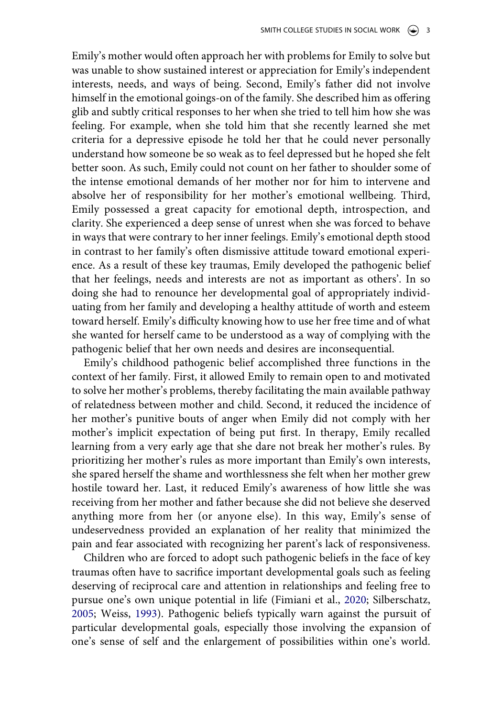Emily's mother would often approach her with problems for Emily to solve but was unable to show sustained interest or appreciation for Emily's independent interests, needs, and ways of being. Second, Emily's father did not involve himself in the emotional goings-on of the family. She described him as offering glib and subtly critical responses to her when she tried to tell him how she was feeling. For example, when she told him that she recently learned she met criteria for a depressive episode he told her that he could never personally understand how someone be so weak as to feel depressed but he hoped she felt better soon. As such, Emily could not count on her father to shoulder some of the intense emotional demands of her mother nor for him to intervene and absolve her of responsibility for her mother's emotional wellbeing. Third, Emily possessed a great capacity for emotional depth, introspection, and clarity. She experienced a deep sense of unrest when she was forced to behave in ways that were contrary to her inner feelings. Emily's emotional depth stood in contrast to her family's often dismissive attitude toward emotional experience. As a result of these key traumas, Emily developed the pathogenic belief that her feelings, needs and interests are not as important as others'. In so doing she had to renounce her developmental goal of appropriately individuating from her family and developing a healthy attitude of worth and esteem toward herself. Emily's difficulty knowing how to use her free time and of what she wanted for herself came to be understood as a way of complying with the pathogenic belief that her own needs and desires are inconsequential.

Emily's childhood pathogenic belief accomplished three functions in the context of her family. First, it allowed Emily to remain open to and motivated to solve her mother's problems, thereby facilitating the main available pathway of relatedness between mother and child. Second, it reduced the incidence of her mother's punitive bouts of anger when Emily did not comply with her mother's implicit expectation of being put first. In therapy, Emily recalled learning from a very early age that she dare not break her mother's rules. By prioritizing her mother's rules as more important than Emily's own interests, she spared herself the shame and worthlessness she felt when her mother grew hostile toward her. Last, it reduced Emily's awareness of how little she was receiving from her mother and father because she did not believe she deserved anything more from her (or anyone else). In this way, Emily's sense of undeservedness provided an explanation of her reality that minimized the pain and fear associated with recognizing her parent's lack of responsiveness.

Children who are forced to adopt such pathogenic beliefs in the face of key traumas often have to sacrifice important developmental goals such as feeling deserving of reciprocal care and attention in relationships and feeling free to pursue one's own unique potential in life (Fimiani et al., [2020;](#page-17-2) Silberschatz, [2005](#page-18-5); Weiss, [1993\)](#page-18-1). Pathogenic beliefs typically warn against the pursuit of particular developmental goals, especially those involving the expansion of one's sense of self and the enlargement of possibilities within one's world.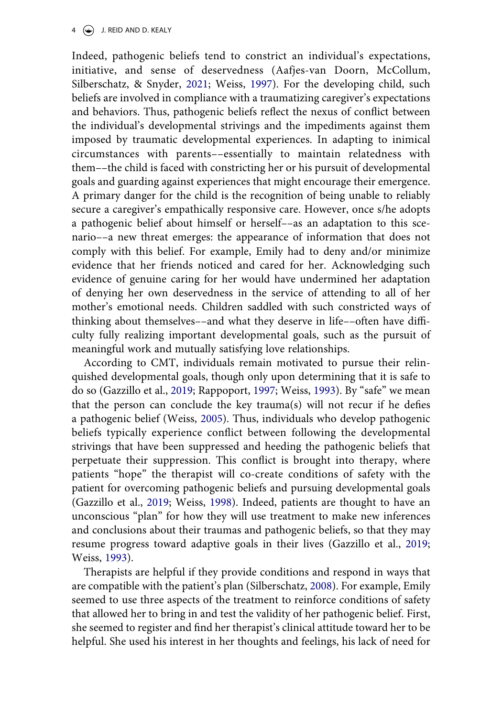<span id="page-4-0"></span>Indeed, pathogenic beliefs tend to constrict an individual's expectations, initiative, and sense of deservedness (Aafjes-van Doorn, McCollum, Silberschatz, & Snyder, [2021;](#page-17-5) Weiss, [1997](#page-18-9)). For the developing child, such beliefs are involved in compliance with a traumatizing caregiver's expectations and behaviors. Thus, pathogenic beliefs reflect the nexus of conflict between the individual's developmental strivings and the impediments against them imposed by traumatic developmental experiences. In adapting to inimical circumstances with parents––essentially to maintain relatedness with them––the child is faced with constricting her or his pursuit of developmental goals and guarding against experiences that might encourage their emergence. A primary danger for the child is the recognition of being unable to reliably secure a caregiver's empathically responsive care. However, once s/he adopts a pathogenic belief about himself or herself––as an adaptation to this scenario––a new threat emerges: the appearance of information that does not comply with this belief. For example, Emily had to deny and/or minimize evidence that her friends noticed and cared for her. Acknowledging such evidence of genuine caring for her would have undermined her adaptation of denying her own deservedness in the service of attending to all of her mother's emotional needs. Children saddled with such constricted ways of thinking about themselves––and what they deserve in life––often have difficulty fully realizing important developmental goals, such as the pursuit of meaningful work and mutually satisfying love relationships.

<span id="page-4-3"></span><span id="page-4-1"></span>According to CMT, individuals remain motivated to pursue their relinquished developmental goals, though only upon determining that it is safe to do so (Gazzillo et al., [2019;](#page-17-0) Rappoport, [1997](#page-18-10); Weiss, [1993\)](#page-18-1). By "safe" we mean that the person can conclude the key trauma(s) will not recur if he defies a pathogenic belief (Weiss, [2005](#page-18-11)). Thus, individuals who develop pathogenic beliefs typically experience conflict between following the developmental strivings that have been suppressed and heeding the pathogenic beliefs that perpetuate their suppression. This conflict is brought into therapy, where patients "hope" the therapist will co-create conditions of safety with the patient for overcoming pathogenic beliefs and pursuing developmental goals (Gazzillo et al., [2019;](#page-17-0) Weiss, [1998\)](#page-18-12). Indeed, patients are thought to have an unconscious "plan" for how they will use treatment to make new inferences and conclusions about their traumas and pathogenic beliefs, so that they may resume progress toward adaptive goals in their lives (Gazzillo et al., [2019](#page-17-0); Weiss, [1993\)](#page-18-1).

<span id="page-4-2"></span>Therapists are helpful if they provide conditions and respond in ways that are compatible with the patient's plan (Silberschatz, [2008](#page-18-0)). For example, Emily seemed to use three aspects of the treatment to reinforce conditions of safety that allowed her to bring in and test the validity of her pathogenic belief. First, she seemed to register and find her therapist's clinical attitude toward her to be helpful. She used his interest in her thoughts and feelings, his lack of need for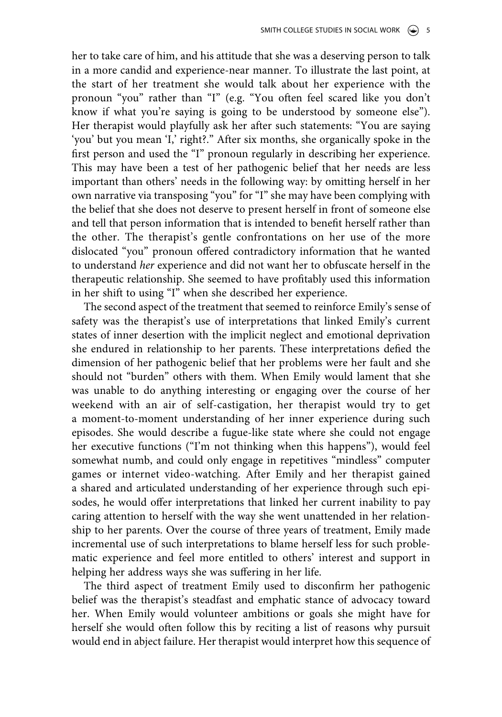her to take care of him, and his attitude that she was a deserving person to talk in a more candid and experience-near manner. To illustrate the last point, at the start of her treatment she would talk about her experience with the pronoun "you" rather than "I" (e.g. "You often feel scared like you don't know if what you're saying is going to be understood by someone else"). Her therapist would playfully ask her after such statements: "You are saying 'you' but you mean 'I,' right?." After six months, she organically spoke in the first person and used the "I" pronoun regularly in describing her experience. This may have been a test of her pathogenic belief that her needs are less important than others' needs in the following way: by omitting herself in her own narrative via transposing "you" for "I" she may have been complying with the belief that she does not deserve to present herself in front of someone else and tell that person information that is intended to benefit herself rather than the other. The therapist's gentle confrontations on her use of the more dislocated "you" pronoun offered contradictory information that he wanted to understand *her* experience and did not want her to obfuscate herself in the therapeutic relationship. She seemed to have profitably used this information in her shift to using "I" when she described her experience.

The second aspect of the treatment that seemed to reinforce Emily's sense of safety was the therapist's use of interpretations that linked Emily's current states of inner desertion with the implicit neglect and emotional deprivation she endured in relationship to her parents. These interpretations defied the dimension of her pathogenic belief that her problems were her fault and she should not "burden" others with them. When Emily would lament that she was unable to do anything interesting or engaging over the course of her weekend with an air of self-castigation, her therapist would try to get a moment-to-moment understanding of her inner experience during such episodes. She would describe a fugue-like state where she could not engage her executive functions ("I'm not thinking when this happens"), would feel somewhat numb, and could only engage in repetitives "mindless" computer games or internet video-watching. After Emily and her therapist gained a shared and articulated understanding of her experience through such episodes, he would offer interpretations that linked her current inability to pay caring attention to herself with the way she went unattended in her relationship to her parents. Over the course of three years of treatment, Emily made incremental use of such interpretations to blame herself less for such problematic experience and feel more entitled to others' interest and support in helping her address ways she was suffering in her life.

The third aspect of treatment Emily used to disconfirm her pathogenic belief was the therapist's steadfast and emphatic stance of advocacy toward her. When Emily would volunteer ambitions or goals she might have for herself she would often follow this by reciting a list of reasons why pursuit would end in abject failure. Her therapist would interpret how this sequence of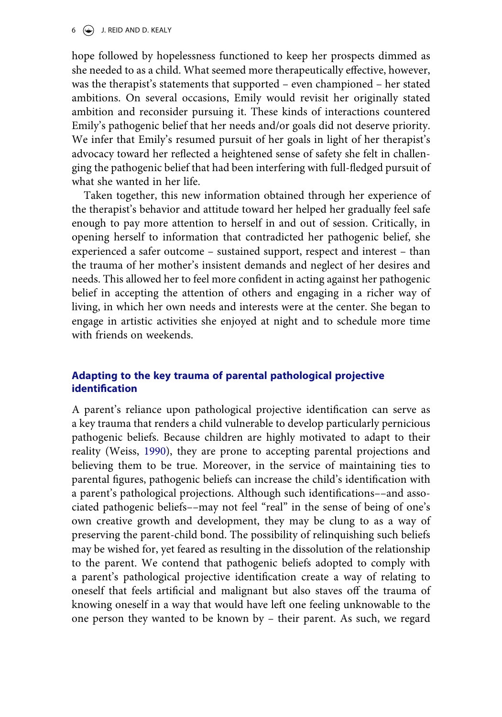#### $6 \quad (*)$  J. REID AND D. KEALY

hope followed by hopelessness functioned to keep her prospects dimmed as she needed to as a child. What seemed more therapeutically effective, however, was the therapist's statements that supported – even championed – her stated ambitions. On several occasions, Emily would revisit her originally stated ambition and reconsider pursuing it. These kinds of interactions countered Emily's pathogenic belief that her needs and/or goals did not deserve priority. We infer that Emily's resumed pursuit of her goals in light of her therapist's advocacy toward her reflected a heightened sense of safety she felt in challenging the pathogenic belief that had been interfering with full-fledged pursuit of what she wanted in her life.

Taken together, this new information obtained through her experience of the therapist's behavior and attitude toward her helped her gradually feel safe enough to pay more attention to herself in and out of session. Critically, in opening herself to information that contradicted her pathogenic belief, she experienced a safer outcome – sustained support, respect and interest – than the trauma of her mother's insistent demands and neglect of her desires and needs. This allowed her to feel more confident in acting against her pathogenic belief in accepting the attention of others and engaging in a richer way of living, in which her own needs and interests were at the center. She began to engage in artistic activities she enjoyed at night and to schedule more time with friends on weekends.

## **Adapting to the key trauma of parental pathological projective identification**

A parent's reliance upon pathological projective identification can serve as a key trauma that renders a child vulnerable to develop particularly pernicious pathogenic beliefs. Because children are highly motivated to adapt to their reality (Weiss, [1990\)](#page-18-8), they are prone to accepting parental projections and believing them to be true. Moreover, in the service of maintaining ties to parental figures, pathogenic beliefs can increase the child's identification with a parent's pathological projections. Although such identifications––and associated pathogenic beliefs––may not feel "real" in the sense of being of one's own creative growth and development, they may be clung to as a way of preserving the parent-child bond. The possibility of relinquishing such beliefs may be wished for, yet feared as resulting in the dissolution of the relationship to the parent. We contend that pathogenic beliefs adopted to comply with a parent's pathological projective identification create a way of relating to oneself that feels artificial and malignant but also staves off the trauma of knowing oneself in a way that would have left one feeling unknowable to the one person they wanted to be known by – their parent. As such, we regard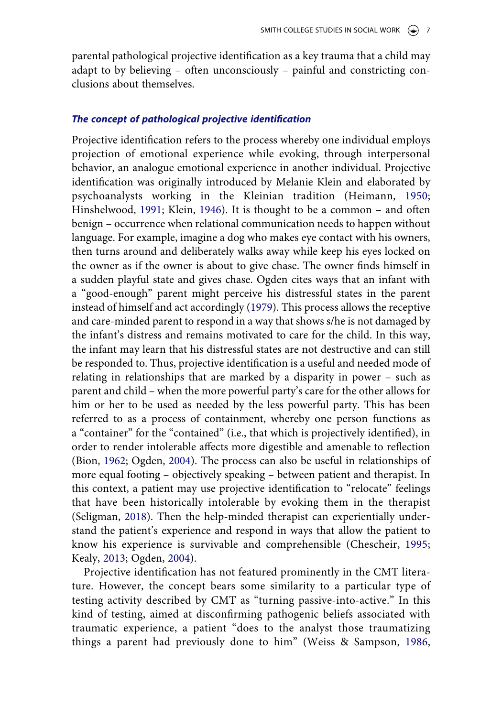parental pathological projective identification as a key trauma that a child may adapt to by believing – often unconsciously – painful and constricting conclusions about themselves.

### *The concept of pathological projective identification*

<span id="page-7-4"></span><span id="page-7-2"></span>Projective identification refers to the process whereby one individual employs projection of emotional experience while evoking, through interpersonal behavior, an analogue emotional experience in another individual. Projective identification was originally introduced by Melanie Klein and elaborated by psychoanalysts working in the Kleinian tradition (Heimann, [1950](#page-18-13); Hinshelwood, [1991](#page-18-3); Klein, [1946](#page-18-14)). It is thought to be a common – and often benign – occurrence when relational communication needs to happen without language. For example, imagine a dog who makes eye contact with his owners, then turns around and deliberately walks away while keep his eyes locked on the owner as if the owner is about to give chase. The owner finds himself in a sudden playful state and gives chase. Ogden cites ways that an infant with a "good-enough" parent might perceive his distressful states in the parent instead of himself and act accordingly [\(1979\)](#page-18-4). This process allows the receptive and care-minded parent to respond in a way that shows s/he is not damaged by the infant's distress and remains motivated to care for the child. In this way, the infant may learn that his distressful states are not destructive and can still be responded to. Thus, projective identification is a useful and needed mode of relating in relationships that are marked by a disparity in power – such as parent and child – when the more powerful party's care for the other allows for him or her to be used as needed by the less powerful party. This has been referred to as a process of containment, whereby one person functions as a "container" for the "contained" (i.e., that which is projectively identified), in order to render intolerable affects more digestible and amenable to reflection (Bion, [1962](#page-17-6); Ogden, [2004](#page-18-15)). The process can also be useful in relationships of more equal footing – objectively speaking – between patient and therapist. In this context, a patient may use projective identification to "relocate" feelings that have been historically intolerable by evoking them in the therapist (Seligman, [2018](#page-18-16)). Then the help-minded therapist can experientially understand the patient's experience and respond in ways that allow the patient to know his experience is survivable and comprehensible (Chescheir, [1995](#page-17-7); Kealy, [2013;](#page-18-17) Ogden, [2004\)](#page-18-15).

<span id="page-7-6"></span><span id="page-7-5"></span><span id="page-7-3"></span><span id="page-7-1"></span><span id="page-7-0"></span>Projective identification has not featured prominently in the CMT literature. However, the concept bears some similarity to a particular type of testing activity described by CMT as "turning passive-into-active." In this kind of testing, aimed at disconfirming pathogenic beliefs associated with traumatic experience, a patient "does to the analyst those traumatizing things a parent had previously done to him" (Weiss & Sampson, [1986](#page-18-18),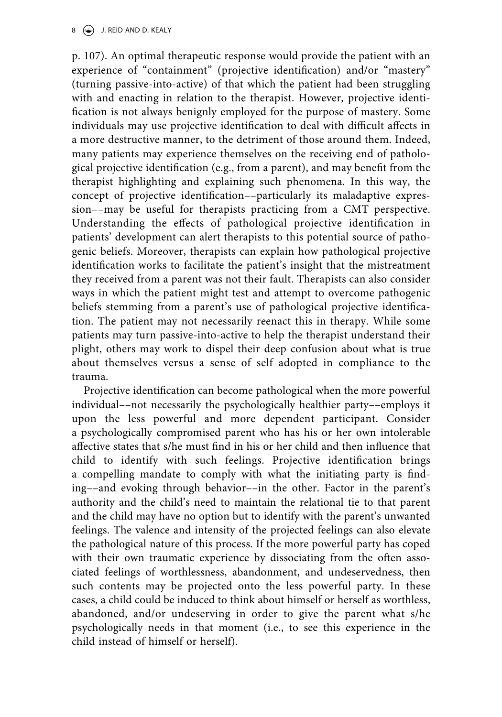#### $\circledast$  J. REID AND D. KEALY

p. 107). An optimal therapeutic response would provide the patient with an experience of "containment" (projective identification) and/or "mastery" (turning passive-into-active) of that which the patient had been struggling with and enacting in relation to the therapist. However, projective identification is not always benignly employed for the purpose of mastery. Some individuals may use projective identification to deal with difficult affects in a more destructive manner, to the detriment of those around them. Indeed, many patients may experience themselves on the receiving end of pathological projective identification (e.g., from a parent), and may benefit from the therapist highlighting and explaining such phenomena. In this way, the concept of projective identification––particularly its maladaptive expression––may be useful for therapists practicing from a CMT perspective. Understanding the effects of pathological projective identification in patients' development can alert therapists to this potential source of pathogenic beliefs. Moreover, therapists can explain how pathological projective identification works to facilitate the patient's insight that the mistreatment they received from a parent was not their fault. Therapists can also consider ways in which the patient might test and attempt to overcome pathogenic beliefs stemming from a parent's use of pathological projective identification. The patient may not necessarily reenact this in therapy. While some patients may turn passive-into-active to help the therapist understand their plight, others may work to dispel their deep confusion about what is true about themselves versus a sense of self adopted in compliance to the trauma.

Projective identification can become pathological when the more powerful individual––not necessarily the psychologically healthier party––employs it upon the less powerful and more dependent participant. Consider a psychologically compromised parent who has his or her own intolerable affective states that s/he must find in his or her child and then influence that child to identify with such feelings. Projective identification brings a compelling mandate to comply with what the initiating party is finding––and evoking through behavior––in the other. Factor in the parent's authority and the child's need to maintain the relational tie to that parent and the child may have no option but to identify with the parent's unwanted feelings. The valence and intensity of the projected feelings can also elevate the pathological nature of this process. If the more powerful party has coped with their own traumatic experience by dissociating from the often associated feelings of worthlessness, abandonment, and undeservedness, then such contents may be projected onto the less powerful party. In these cases, a child could be induced to think about himself or herself as worthless, abandoned, and/or undeserving in order to give the parent what s/he psychologically needs in that moment (i.e., to see this experience in the child instead of himself or herself).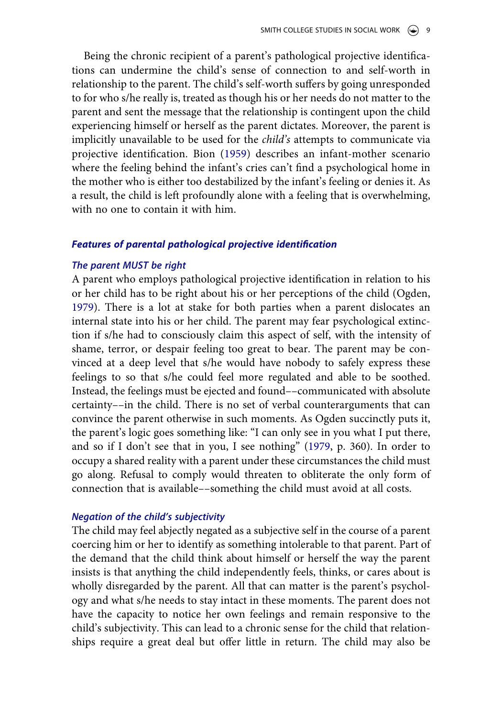<span id="page-9-0"></span>Being the chronic recipient of a parent's pathological projective identifications can undermine the child's sense of connection to and self-worth in relationship to the parent. The child's self-worth suffers by going unresponded to for who s/he really is, treated as though his or her needs do not matter to the parent and sent the message that the relationship is contingent upon the child experiencing himself or herself as the parent dictates. Moreover, the parent is implicitly unavailable to be used for the *child's* attempts to communicate via projective identification. Bion [\(1959\)](#page-17-8) describes an infant-mother scenario where the feeling behind the infant's cries can't find a psychological home in the mother who is either too destabilized by the infant's feeling or denies it. As a result, the child is left profoundly alone with a feeling that is overwhelming, with no one to contain it with him.

#### *Features of parental pathological projective identification*

#### *The parent MUST be right*

A parent who employs pathological projective identification in relation to his or her child has to be right about his or her perceptions of the child (Ogden, [1979](#page-18-4)). There is a lot at stake for both parties when a parent dislocates an internal state into his or her child. The parent may fear psychological extinction if s/he had to consciously claim this aspect of self, with the intensity of shame, terror, or despair feeling too great to bear. The parent may be convinced at a deep level that s/he would have nobody to safely express these feelings to so that s/he could feel more regulated and able to be soothed. Instead, the feelings must be ejected and found––communicated with absolute certainty––in the child. There is no set of verbal counterarguments that can convince the parent otherwise in such moments. As Ogden succinctly puts it, the parent's logic goes something like: "I can only see in you what I put there, and so if I don't see that in you, I see nothing" [\(1979](#page-18-4), p. 360). In order to occupy a shared reality with a parent under these circumstances the child must go along. Refusal to comply would threaten to obliterate the only form of connection that is available––something the child must avoid at all costs.

#### *Negation of the child's subjectivity*

The child may feel abjectly negated as a subjective self in the course of a parent coercing him or her to identify as something intolerable to that parent. Part of the demand that the child think about himself or herself the way the parent insists is that anything the child independently feels, thinks, or cares about is wholly disregarded by the parent. All that can matter is the parent's psychology and what s/he needs to stay intact in these moments. The parent does not have the capacity to notice her own feelings and remain responsive to the child's subjectivity. This can lead to a chronic sense for the child that relationships require a great deal but offer little in return. The child may also be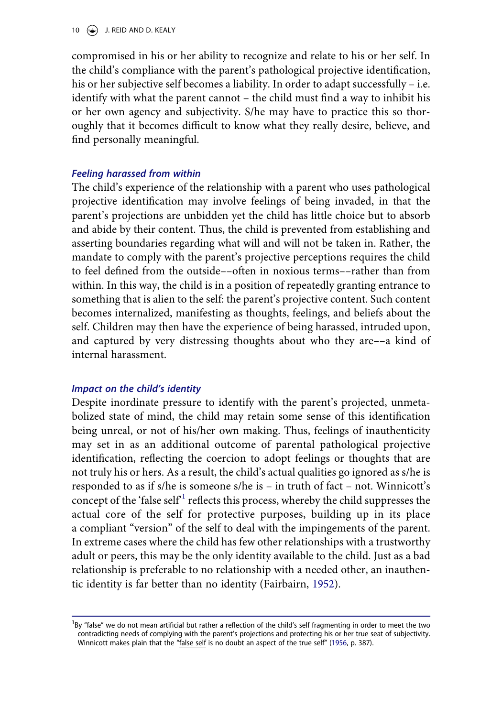10  $\left(\rightarrow\right)$  J. REID AND D. KEALY

compromised in his or her ability to recognize and relate to his or her self. In the child's compliance with the parent's pathological projective identification, his or her subjective self becomes a liability. In order to adapt successfully – i.e. identify with what the parent cannot – the child must find a way to inhibit his or her own agency and subjectivity. S/he may have to practice this so thoroughly that it becomes difficult to know what they really desire, believe, and find personally meaningful.

#### *Feeling harassed from within*

The child's experience of the relationship with a parent who uses pathological projective identification may involve feelings of being invaded, in that the parent's projections are unbidden yet the child has little choice but to absorb and abide by their content. Thus, the child is prevented from establishing and asserting boundaries regarding what will and will not be taken in. Rather, the mandate to comply with the parent's projective perceptions requires the child to feel defined from the outside––often in noxious terms––rather than from within. In this way, the child is in a position of repeatedly granting entrance to something that is alien to the self: the parent's projective content. Such content becomes internalized, manifesting as thoughts, feelings, and beliefs about the self. Children may then have the experience of being harassed, intruded upon, and captured by very distressing thoughts about who they are––a kind of internal harassment.

#### *Impact on the child's identity*

Despite inordinate pressure to identify with the parent's projected, unmetabolized state of mind, the child may retain some sense of this identification being unreal, or not of his/her own making. Thus, feelings of inauthenticity may set in as an additional outcome of parental pathological projective identification, reflecting the coercion to adopt feelings or thoughts that are not truly his or hers. As a result, the child's actual qualities go ignored as s/he is responded to as if s/he is someone s/he is – in truth of fact – not. Winnicott's concept of the 'false self<sup>-1</sup> reflects this process, whereby the child suppresses the actual core of the self for protective purposes, building up in its place a compliant "version" of the self to deal with the impingements of the parent. In extreme cases where the child has few other relationships with a trustworthy adult or peers, this may be the only identity available to the child. Just as a bad relationship is preferable to no relationship with a needed other, an inauthentic identity is far better than no identity (Fairbairn, [1952\)](#page-17-9).

<span id="page-10-2"></span><span id="page-10-1"></span><span id="page-10-0"></span><sup>&</sup>lt;sup>1</sup>By "false" we do not mean artificial but rather a reflection of the child's self fragmenting in order to meet the two contradicting needs of complying with the parent's projections and protecting his or her true seat of subjectivity. Winnicott makes plain that the "false self is no doubt an aspect of the true self" ([1956](#page-18-19), p. 387).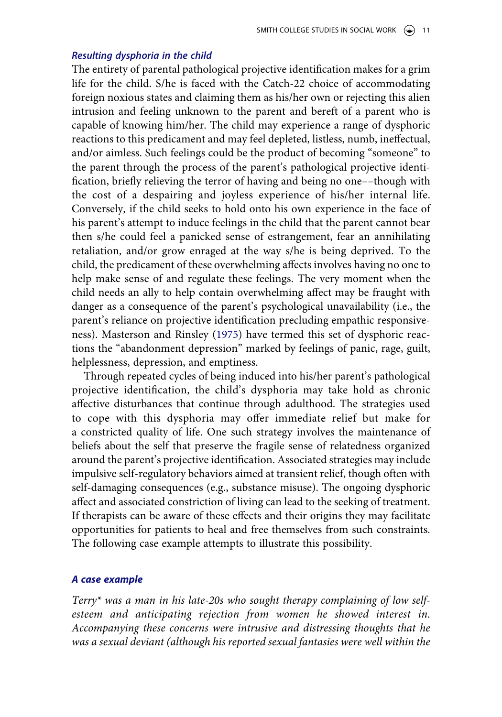#### *Resulting dysphoria in the child*

The entirety of parental pathological projective identification makes for a grim life for the child. S/he is faced with the Catch-22 choice of accommodating foreign noxious states and claiming them as his/her own or rejecting this alien intrusion and feeling unknown to the parent and bereft of a parent who is capable of knowing him/her. The child may experience a range of dysphoric reactions to this predicament and may feel depleted, listless, numb, ineffectual, and/or aimless. Such feelings could be the product of becoming "someone" to the parent through the process of the parent's pathological projective identification, briefly relieving the terror of having and being no one––though with the cost of a despairing and joyless experience of his/her internal life. Conversely, if the child seeks to hold onto his own experience in the face of his parent's attempt to induce feelings in the child that the parent cannot bear then s/he could feel a panicked sense of estrangement, fear an annihilating retaliation, and/or grow enraged at the way s/he is being deprived. To the child, the predicament of these overwhelming affects involves having no one to help make sense of and regulate these feelings. The very moment when the child needs an ally to help contain overwhelming affect may be fraught with danger as a consequence of the parent's psychological unavailability (i.e., the parent's reliance on projective identification precluding empathic responsiveness). Masterson and Rinsley [\(1975](#page-18-20)) have termed this set of dysphoric reactions the "abandonment depression" marked by feelings of panic, rage, guilt, helplessness, depression, and emptiness.

<span id="page-11-0"></span>Through repeated cycles of being induced into his/her parent's pathological projective identification, the child's dysphoria may take hold as chronic affective disturbances that continue through adulthood. The strategies used to cope with this dysphoria may offer immediate relief but make for a constricted quality of life. One such strategy involves the maintenance of beliefs about the self that preserve the fragile sense of relatedness organized around the parent's projective identification. Associated strategies may include impulsive self-regulatory behaviors aimed at transient relief, though often with self-damaging consequences (e.g., substance misuse). The ongoing dysphoric affect and associated constriction of living can lead to the seeking of treatment. If therapists can be aware of these effects and their origins they may facilitate opportunities for patients to heal and free themselves from such constraints. The following case example attempts to illustrate this possibility.

#### *A case example*

*Terry\* was a man in his late-20s who sought therapy complaining of low selfesteem and anticipating rejection from women he showed interest in. Accompanying these concerns were intrusive and distressing thoughts that he was a sexual deviant (although his reported sexual fantasies were well within the*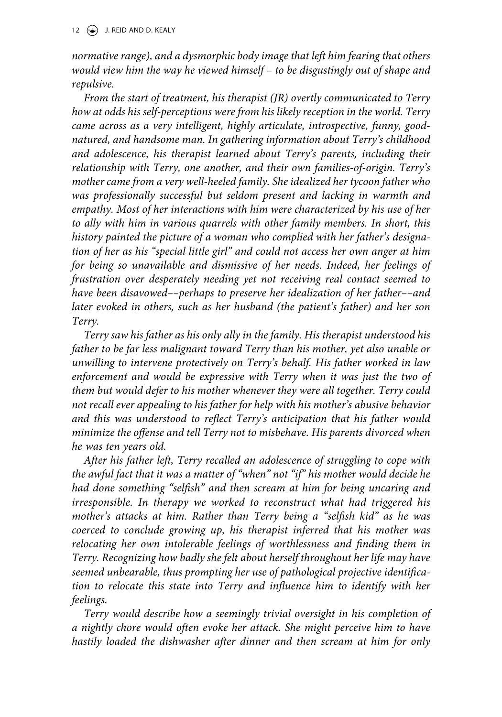*normative range), and a dysmorphic body image that left him fearing that others would view him the way he viewed himself – to be disgustingly out of shape and repulsive.*

*From the start of treatment, his therapist (JR) overtly communicated to Terry how at odds his self-perceptions were from his likely reception in the world. Terry came across as a very intelligent, highly articulate, introspective, funny, goodnatured, and handsome man. In gathering information about Terry's childhood and adolescence, his therapist learned about Terry's parents, including their relationship with Terry, one another, and their own families-of-origin. Terry's mother came from a very well-heeled family. She idealized her tycoon father who was professionally successful but seldom present and lacking in warmth and empathy. Most of her interactions with him were characterized by his use of her to ally with him in various quarrels with other family members. In short, this history painted the picture of a woman who complied with her father's designation of her as his "special little girl" and could not access her own anger at him for being so unavailable and dismissive of her needs. Indeed, her feelings of frustration over desperately needing yet not receiving real contact seemed to have been disavowed––perhaps to preserve her idealization of her father––and later evoked in others, such as her husband (the patient's father) and her son Terry.*

*Terry saw his father as his only ally in the family. His therapist understood his father to be far less malignant toward Terry than his mother, yet also unable or unwilling to intervene protectively on Terry's behalf. His father worked in law*  enforcement and would be expressive with Terry when it was just the two of *them but would defer to his mother whenever they were all together. Terry could not recall ever appealing to his father for help with his mother's abusive behavior and this was understood to reflect Terry's anticipation that his father would minimize the offense and tell Terry not to misbehave. His parents divorced when he was ten years old.*

*After his father left, Terry recalled an adolescence of struggling to cope with the awful fact that it was a matter of "when" not "if" his mother would decide he had done something "selfish" and then scream at him for being uncaring and irresponsible. In therapy we worked to reconstruct what had triggered his mother's attacks at him. Rather than Terry being a "selfish kid" as he was coerced to conclude growing up, his therapist inferred that his mother was*  relocating her own intolerable feelings of worthlessness and finding them in *Terry. Recognizing how badly she felt about herself throughout her life may have seemed unbearable, thus prompting her use of pathological projective identification to relocate this state into Terry and influence him to identify with her feelings.*

*Terry would describe how a seemingly trivial oversight in his completion of a nightly chore would often evoke her attack. She might perceive him to have hastily loaded the dishwasher after dinner and then scream at him for only*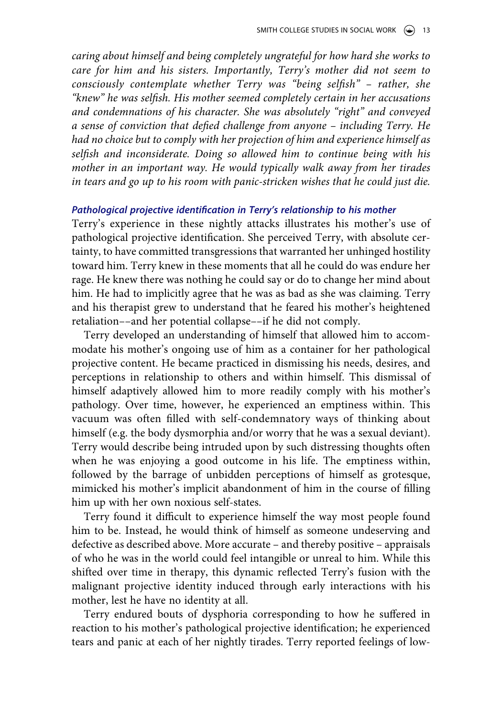*caring about himself and being completely ungrateful for how hard she works to care for him and his sisters. Importantly, Terry's mother did not seem to consciously contemplate whether Terry was "being selfish" – rather, she "knew" he was selfish. His mother seemed completely certain in her accusations and condemnations of his character. She was absolutely "right" and conveyed a sense of conviction that defied challenge from anyone – including Terry. He had no choice but to comply with her projection of him and experience himself as selfish and inconsiderate. Doing so allowed him to continue being with his mother in an important way. He would typically walk away from her tirades in tears and go up to his room with panic-stricken wishes that he could just die.*

#### *Pathological projective identification in Terry's relationship to his mother*

Terry's experience in these nightly attacks illustrates his mother's use of pathological projective identification. She perceived Terry, with absolute certainty, to have committed transgressions that warranted her unhinged hostility toward him. Terry knew in these moments that all he could do was endure her rage. He knew there was nothing he could say or do to change her mind about him. He had to implicitly agree that he was as bad as she was claiming. Terry and his therapist grew to understand that he feared his mother's heightened retaliation––and her potential collapse––if he did not comply.

Terry developed an understanding of himself that allowed him to accommodate his mother's ongoing use of him as a container for her pathological projective content. He became practiced in dismissing his needs, desires, and perceptions in relationship to others and within himself. This dismissal of himself adaptively allowed him to more readily comply with his mother's pathology. Over time, however, he experienced an emptiness within. This vacuum was often filled with self-condemnatory ways of thinking about himself (e.g. the body dysmorphia and/or worry that he was a sexual deviant). Terry would describe being intruded upon by such distressing thoughts often when he was enjoying a good outcome in his life. The emptiness within, followed by the barrage of unbidden perceptions of himself as grotesque, mimicked his mother's implicit abandonment of him in the course of filling him up with her own noxious self-states.

Terry found it difficult to experience himself the way most people found him to be. Instead, he would think of himself as someone undeserving and defective as described above. More accurate – and thereby positive – appraisals of who he was in the world could feel intangible or unreal to him. While this shifted over time in therapy, this dynamic reflected Terry's fusion with the malignant projective identity induced through early interactions with his mother, lest he have no identity at all.

Terry endured bouts of dysphoria corresponding to how he suffered in reaction to his mother's pathological projective identification; he experienced tears and panic at each of her nightly tirades. Terry reported feelings of low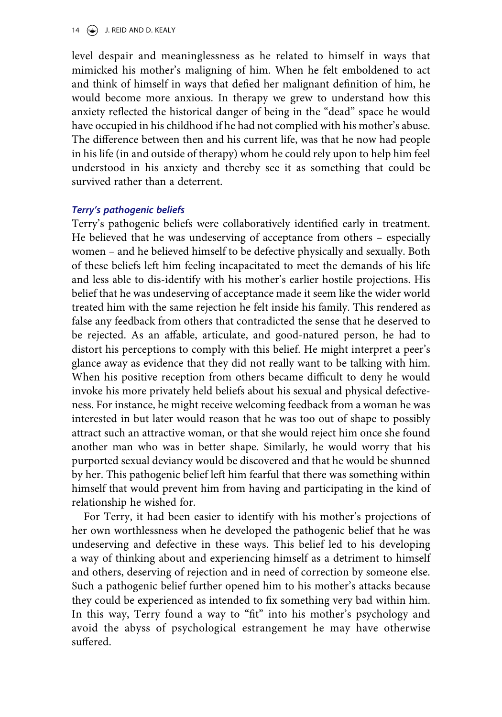level despair and meaninglessness as he related to himself in ways that mimicked his mother's maligning of him. When he felt emboldened to act and think of himself in ways that defied her malignant definition of him, he would become more anxious. In therapy we grew to understand how this anxiety reflected the historical danger of being in the "dead" space he would have occupied in his childhood if he had not complied with his mother's abuse. The difference between then and his current life, was that he now had people in his life (in and outside of therapy) whom he could rely upon to help him feel understood in his anxiety and thereby see it as something that could be survived rather than a deterrent.

### *Terry's pathogenic beliefs*

Terry's pathogenic beliefs were collaboratively identified early in treatment. He believed that he was undeserving of acceptance from others – especially women – and he believed himself to be defective physically and sexually. Both of these beliefs left him feeling incapacitated to meet the demands of his life and less able to dis-identify with his mother's earlier hostile projections. His belief that he was undeserving of acceptance made it seem like the wider world treated him with the same rejection he felt inside his family. This rendered as false any feedback from others that contradicted the sense that he deserved to be rejected. As an affable, articulate, and good-natured person, he had to distort his perceptions to comply with this belief. He might interpret a peer's glance away as evidence that they did not really want to be talking with him. When his positive reception from others became difficult to deny he would invoke his more privately held beliefs about his sexual and physical defectiveness. For instance, he might receive welcoming feedback from a woman he was interested in but later would reason that he was too out of shape to possibly attract such an attractive woman, or that she would reject him once she found another man who was in better shape. Similarly, he would worry that his purported sexual deviancy would be discovered and that he would be shunned by her. This pathogenic belief left him fearful that there was something within himself that would prevent him from having and participating in the kind of relationship he wished for.

For Terry, it had been easier to identify with his mother's projections of her own worthlessness when he developed the pathogenic belief that he was undeserving and defective in these ways. This belief led to his developing a way of thinking about and experiencing himself as a detriment to himself and others, deserving of rejection and in need of correction by someone else. Such a pathogenic belief further opened him to his mother's attacks because they could be experienced as intended to fix something very bad within him. In this way, Terry found a way to "fit" into his mother's psychology and avoid the abyss of psychological estrangement he may have otherwise suffered.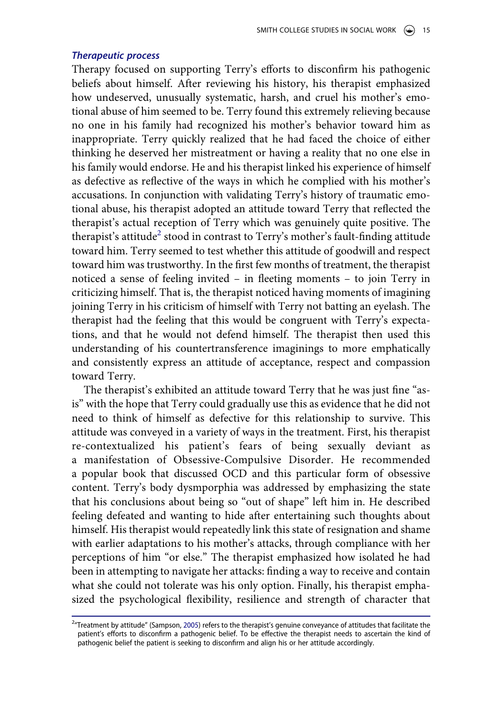#### *Therapeutic process*

Therapy focused on supporting Terry's efforts to disconfirm his pathogenic beliefs about himself. After reviewing his history, his therapist emphasized how undeserved, unusually systematic, harsh, and cruel his mother's emotional abuse of him seemed to be. Terry found this extremely relieving because no one in his family had recognized his mother's behavior toward him as inappropriate. Terry quickly realized that he had faced the choice of either thinking he deserved her mistreatment or having a reality that no one else in his family would endorse. He and his therapist linked his experience of himself as defective as reflective of the ways in which he complied with his mother's accusations. In conjunction with validating Terry's history of traumatic emotional abuse, his therapist adopted an attitude toward Terry that reflected the therapist's actual reception of Terry which was genuinely quite positive. The therapist's attitude<sup>2</sup> stood in contrast to Terry's mother's fault-finding attitude toward him. Terry seemed to test whether this attitude of goodwill and respect toward him was trustworthy. In the first few months of treatment, the therapist noticed a sense of feeling invited – in fleeting moments – to join Terry in criticizing himself. That is, the therapist noticed having moments of imagining joining Terry in his criticism of himself with Terry not batting an eyelash. The therapist had the feeling that this would be congruent with Terry's expectations, and that he would not defend himself. The therapist then used this understanding of his countertransference imaginings to more emphatically and consistently express an attitude of acceptance, respect and compassion toward Terry.

The therapist's exhibited an attitude toward Terry that he was just fine "asis" with the hope that Terry could gradually use this as evidence that he did not need to think of himself as defective for this relationship to survive. This attitude was conveyed in a variety of ways in the treatment. First, his therapist re-contextualized his patient's fears of being sexually deviant as a manifestation of Obsessive-Compulsive Disorder. He recommended a popular book that discussed OCD and this particular form of obsessive content. Terry's body dysmporphia was addressed by emphasizing the state that his conclusions about being so "out of shape" left him in. He described feeling defeated and wanting to hide after entertaining such thoughts about himself. His therapist would repeatedly link this state of resignation and shame with earlier adaptations to his mother's attacks, through compliance with her perceptions of him "or else." The therapist emphasized how isolated he had been in attempting to navigate her attacks: finding a way to receive and contain what she could not tolerate was his only option. Finally, his therapist emphasized the psychological flexibility, resilience and strength of character that

<span id="page-15-0"></span><sup>&</sup>lt;sup>2</sup>"Treatment by attitude" (Sampson, [2005](#page-18-21)) refers to the therapist's genuine conveyance of attitudes that facilitate the patient's efforts to disconfirm a pathogenic belief. To be effective the therapist needs to ascertain the kind of pathogenic belief the patient is seeking to disconfirm and align his or her attitude accordingly.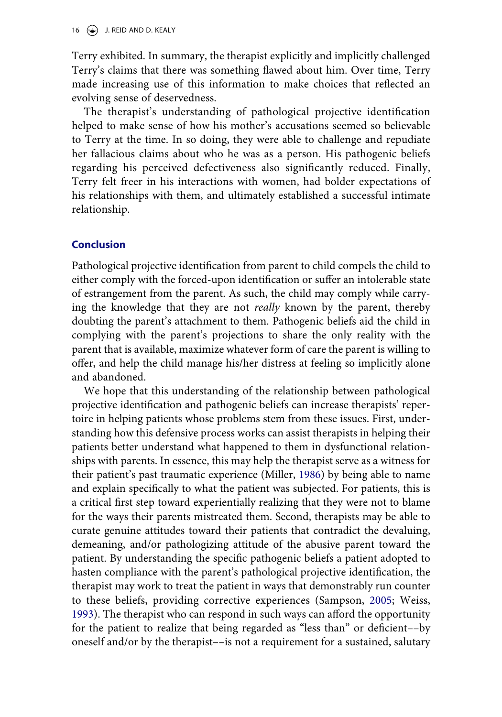Terry exhibited. In summary, the therapist explicitly and implicitly challenged Terry's claims that there was something flawed about him. Over time, Terry made increasing use of this information to make choices that reflected an evolving sense of deservedness.

The therapist's understanding of pathological projective identification helped to make sense of how his mother's accusations seemed so believable to Terry at the time. In so doing, they were able to challenge and repudiate her fallacious claims about who he was as a person. His pathogenic beliefs regarding his perceived defectiveness also significantly reduced. Finally, Terry felt freer in his interactions with women, had bolder expectations of his relationships with them, and ultimately established a successful intimate relationship.

### **Conclusion**

Pathological projective identification from parent to child compels the child to either comply with the forced-upon identification or suffer an intolerable state of estrangement from the parent. As such, the child may comply while carrying the knowledge that they are not *really* known by the parent, thereby doubting the parent's attachment to them. Pathogenic beliefs aid the child in complying with the parent's projections to share the only reality with the parent that is available, maximize whatever form of care the parent is willing to offer, and help the child manage his/her distress at feeling so implicitly alone and abandoned.

<span id="page-16-0"></span>We hope that this understanding of the relationship between pathological projective identification and pathogenic beliefs can increase therapists' repertoire in helping patients whose problems stem from these issues. First, understanding how this defensive process works can assist therapists in helping their patients better understand what happened to them in dysfunctional relationships with parents. In essence, this may help the therapist serve as a witness for their patient's past traumatic experience (Miller, [1986\)](#page-18-22) by being able to name and explain specifically to what the patient was subjected. For patients, this is a critical first step toward experientially realizing that they were not to blame for the ways their parents mistreated them. Second, therapists may be able to curate genuine attitudes toward their patients that contradict the devaluing, demeaning, and/or pathologizing attitude of the abusive parent toward the patient. By understanding the specific pathogenic beliefs a patient adopted to hasten compliance with the parent's pathological projective identification, the therapist may work to treat the patient in ways that demonstrably run counter to these beliefs, providing corrective experiences (Sampson, [2005;](#page-18-21) Weiss, [1993](#page-18-1)). The therapist who can respond in such ways can afford the opportunity for the patient to realize that being regarded as "less than" or deficient––by oneself and/or by the therapist––is not a requirement for a sustained, salutary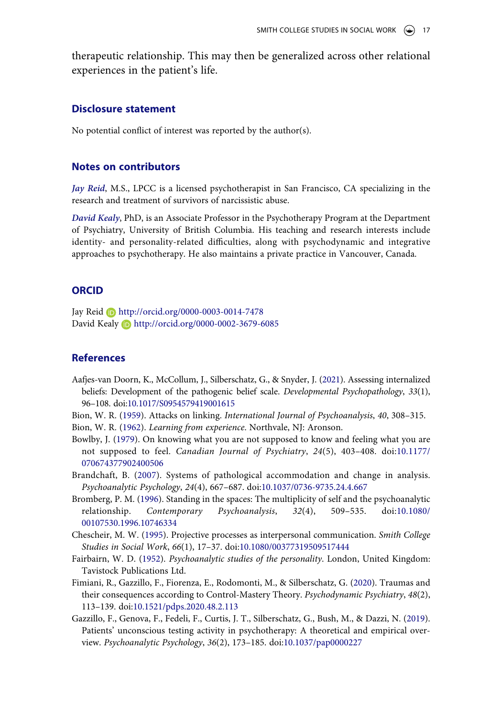therapeutic relationship. This may then be generalized across other relational experiences in the patient's life.

#### **Disclosure statement**

No potential conflict of interest was reported by the author(s).

#### **Notes on contributors**

*Jay Reid*, M.S., LPCC is a licensed psychotherapist in San Francisco, CA specializing in the research and treatment of survivors of narcissistic abuse.

*David Kealy*, PhD, is an Associate Professor in the Psychotherapy Program at the Department of Psychiatry, University of British Columbia. His teaching and research interests include identity- and personality-related difficulties, along with psychodynamic and integrative approaches to psychotherapy. He also maintains a private practice in Vancouver, Canada.

#### **ORCID**

Jay Reid http://orcid.org/0000-0003-0014-7478 David Kealy **D** http://orcid.org/0000-0002-3679-6085

#### **References**

- <span id="page-17-5"></span>Aafjes-van Doorn, K., McCollum, J., Silberschatz, G., & Snyder, J. ([2021](#page-4-0)). Assessing internalized beliefs: Development of the pathogenic belief scale. *Developmental Psychopathology*, *33*(1), 96–108. doi:[10.1017/S0954579419001615](https://doi.org/10.1017/S0954579419001615)
- <span id="page-17-8"></span><span id="page-17-6"></span>Bion, W. R. [\(1959](#page-9-0)). Attacks on linking. *International Journal of Psychoanalysis*, *40*, 308–315. Bion, W. R. [\(1962](#page-7-0)). *Learning from experience*. Northvale, NJ: Aronson.
- <span id="page-17-3"></span>Bowlby, J. ([1979](#page-2-0)). On knowing what you are not supposed to know and feeling what you are not supposed to feel. *Canadian Journal of Psychiatry*, *24*(5), 403–408. doi:[10.1177/](https://doi.org/10.1177/070674377902400506) [070674377902400506](https://doi.org/10.1177/070674377902400506)
- <span id="page-17-4"></span>Brandchaft, B. ([2007\)](#page-2-0). Systems of pathological accommodation and change in analysis. *Psychoanalytic Psychology*, *24*(4), 667–687. doi:[10.1037/0736-9735.24.4.667](https://doi.org/10.1037/0736-9735.24.4.667)
- <span id="page-17-1"></span>Bromberg, P. M. ([1996](#page-1-1)). Standing in the spaces: The multiplicity of self and the psychoanalytic relationship. *Contemporary Psychoanalysis*, *32*(4), 509–535. doi:[10.1080/](https://doi.org/10.1080/00107530.1996.10746334) [00107530.1996.10746334](https://doi.org/10.1080/00107530.1996.10746334)
- <span id="page-17-7"></span>Chescheir, M. W. [\(1995\)](#page-7-1). Projective processes as interpersonal communication. *Smith College Studies in Social Work*, *66*(1), 17–37. doi:[10.1080/00377319509517444](https://doi.org/10.1080/00377319509517444)
- <span id="page-17-9"></span>Fairbairn, W. D. ([1952\)](#page-10-1). *Psychoanalytic studies of the personality*. London, United Kingdom: Tavistock Publications Ltd.
- <span id="page-17-2"></span>Fimiani, R., Gazzillo, F., Fiorenza, E., Rodomonti, M., & Silberschatz, G. ([2020](#page-2-1)). Traumas and their consequences according to Control-Mastery Theory. *Psychodynamic Psychiatry*, *48*(2), 113–139. doi:[10.1521/pdps.2020.48.2.113](https://doi.org/10.1521/pdps.2020.48.2.113)
- <span id="page-17-0"></span>Gazzillo, F., Genova, F., Fedeli, F., Curtis, J. T., Silberschatz, G., Bush, M., & Dazzi, N. [\(2019\)](#page-1-2). Patients' unconscious testing activity in psychotherapy: A theoretical and empirical overview. *Psychoanalytic Psychology*, *36*(2), 173–185. doi:[10.1037/pap0000227](https://doi.org/10.1037/pap0000227)